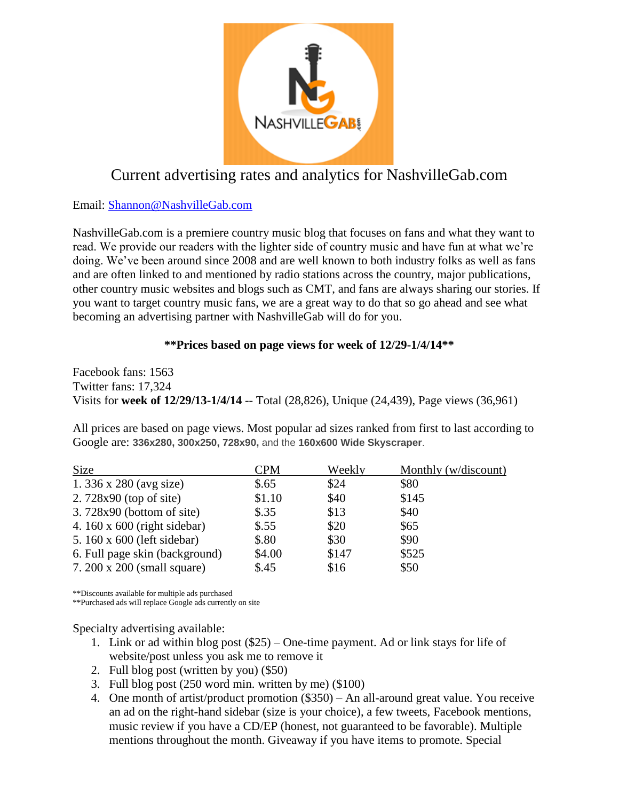

## Current advertising rates and analytics for NashvilleGab.com

Email: [Shannon@NashvilleGab.com](mailto:Shannon@NashvilleGab.com)

NashvilleGab.com is a premiere country music blog that focuses on fans and what they want to read. We provide our readers with the lighter side of country music and have fun at what we're doing. We've been around since 2008 and are well known to both industry folks as well as fans and are often linked to and mentioned by radio stations across the country, major publications, other country music websites and blogs such as CMT, and fans are always sharing our stories. If you want to target country music fans, we are a great way to do that so go ahead and see what becoming an advertising partner with NashvilleGab will do for you.

## **\*\*Prices based on page views for week of 12/29-1/4/14\*\***

Facebook fans: 1563 Twitter fans: 17,324 Visits for **week of 12/29/13-1/4/14** -- Total (28,826), Unique (24,439), Page views (36,961)

All prices are based on page views. Most popular ad sizes ranked from first to last according to Google are: **336x280, 300x250, 728x90,** and the **160x600 Wide Skyscraper**.

| <b>Size</b>                         | CPM     | Weekly | Monthly (w/discount) |
|-------------------------------------|---------|--------|----------------------|
| 1. 336 x 280 (avg size)             | $\$.65$ | \$24   | \$80                 |
| $2.728x90$ (top of site)            | \$1.10  | \$40   | \$145                |
| $3.728x90$ (bottom of site)         | $\$.35$ | \$13   | \$40                 |
| 4. $160 \times 600$ (right sidebar) | \$.55   | \$20   | \$65                 |
| 5. 160 x 600 (left sidebar)         | \$.80   | \$30   | \$90                 |
| 6. Full page skin (background)      | \$4.00  | \$147  | \$525                |
| 7. 200 x 200 (small square)         | \$.45   | \$16   | \$50                 |

\*\*Discounts available for multiple ads purchased

\*\*Purchased ads will replace Google ads currently on site

Specialty advertising available:

- 1. Link or ad within blog post (\$25) One-time payment. Ad or link stays for life of website/post unless you ask me to remove it
- 2. Full blog post (written by you) (\$50)
- 3. Full blog post (250 word min. written by me) (\$100)
- 4. One month of artist/product promotion (\$350) An all-around great value. You receive an ad on the right-hand sidebar (size is your choice), a few tweets, Facebook mentions, music review if you have a CD/EP (honest, not guaranteed to be favorable). Multiple mentions throughout the month. Giveaway if you have items to promote. Special